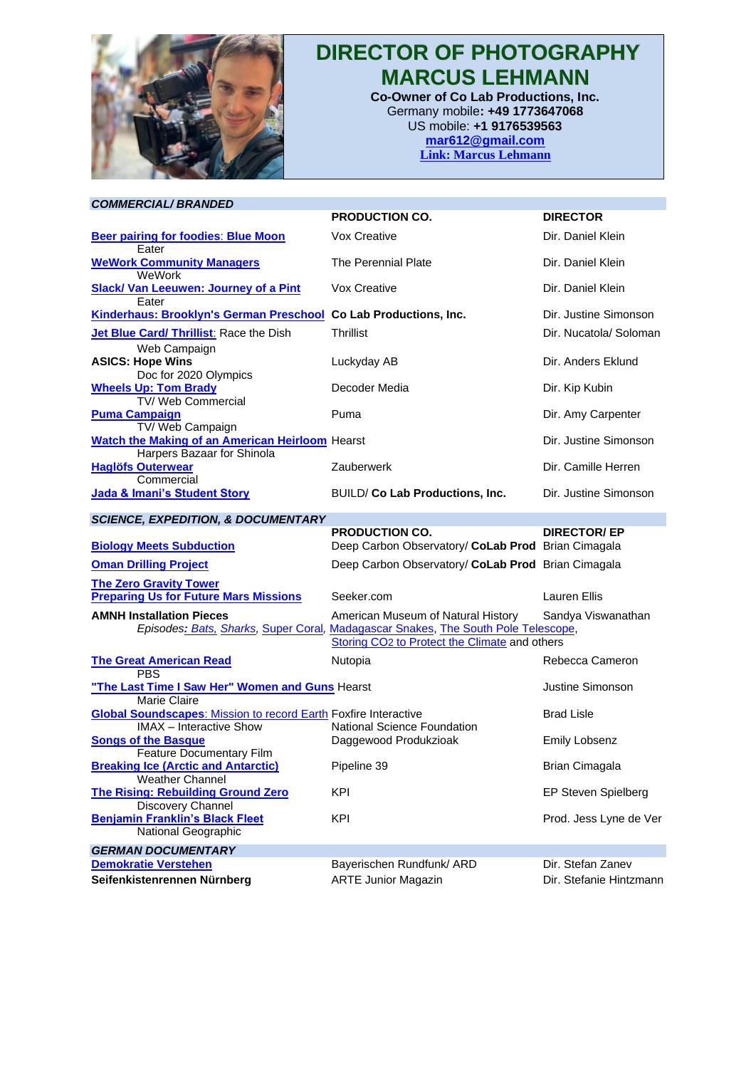

## **DIRECTOR OF PHOTOGRAPHY MARCUS LEHMANN**

**Co-Owner of Co Lab Productions, Inc.** Germany mobile**: +49 1773647068** US mobile: **+1 9176539563 [mar612@gmail.com](mailto:mar612@gmail.com) Link: [Marcus Lehmann](https://vimeo.com/marcuslehmann)**

| <b>COMMERCIAL/BRANDED</b>                                                                                |                                                                                                                                                                                      |                         |
|----------------------------------------------------------------------------------------------------------|--------------------------------------------------------------------------------------------------------------------------------------------------------------------------------------|-------------------------|
|                                                                                                          | <b>PRODUCTION CO.</b>                                                                                                                                                                | <b>DIRECTOR</b>         |
| <b>Beer pairing for foodies: Blue Moon</b><br>Eater                                                      | Vox Creative                                                                                                                                                                         | Dir. Daniel Klein       |
| <b>WeWork Community Managers</b><br>WeWork                                                               | The Perennial Plate                                                                                                                                                                  | Dir. Daniel Klein       |
| <b>Slack/ Van Leeuwen: Journey of a Pint</b><br>Eater                                                    | Vox Creative                                                                                                                                                                         | Dir. Daniel Klein       |
| <b>Kinderhaus: Brooklyn's German Preschool Co Lab Productions, Inc.</b>                                  |                                                                                                                                                                                      | Dir. Justine Simonson   |
| Jet Blue Card/ Thrillist: Race the Dish<br>Web Campaign                                                  | <b>Thrillist</b>                                                                                                                                                                     | Dir. Nucatola/ Soloman  |
| <b>ASICS: Hope Wins</b><br>Doc for 2020 Olympics                                                         | Luckyday AB                                                                                                                                                                          | Dir. Anders Eklund      |
| <b>Wheels Up: Tom Brady</b><br>TV/ Web Commercial                                                        | Decoder Media                                                                                                                                                                        | Dir. Kip Kubin          |
| <b>Puma Campaign</b><br>TV/Web Campaign                                                                  | Puma                                                                                                                                                                                 | Dir. Amy Carpenter      |
| <b>Watch the Making of an American Heirloom</b> Hearst<br>Harpers Bazaar for Shinola                     |                                                                                                                                                                                      | Dir. Justine Simonson   |
| <b>Haglöfs Outerwear</b><br>Commercial                                                                   | Zauberwerk                                                                                                                                                                           | Dir. Camille Herren     |
| Jada & Imani's Student Story                                                                             | BUILD/ Co Lab Productions, Inc.                                                                                                                                                      | Dir. Justine Simonson   |
| <b>SCIENCE, EXPEDITION, &amp; DOCUMENTARY</b>                                                            |                                                                                                                                                                                      |                         |
|                                                                                                          | <b>PRODUCTION CO.</b>                                                                                                                                                                | <b>DIRECTOR/EP</b>      |
| <b>Biology Meets Subduction</b>                                                                          | Deep Carbon Observatory/ CoLab Prod Brian Cimagala                                                                                                                                   |                         |
| <b>Oman Drilling Project</b>                                                                             | Deep Carbon Observatory/ CoLab Prod Brian Cimagala                                                                                                                                   |                         |
| <b>The Zero Gravity Tower</b><br><b>Preparing Us for Future Mars Missions</b>                            | Seeker.com                                                                                                                                                                           | Lauren Ellis            |
| <b>AMNH Installation Pieces</b>                                                                          | American Museum of Natural History<br>Episodes: Bats, Sharks, Super Coral, Madagascar Snakes, The South Pole Telescope,<br>Storing CO <sub>2</sub> to Protect the Climate and others | Sandya Viswanathan      |
| <b>The Great American Read</b><br><b>PBS</b>                                                             | Nutopia                                                                                                                                                                              | Rebecca Cameron         |
| "The Last Time I Saw Her" Women and Guns Hearst<br>Marie Claire                                          |                                                                                                                                                                                      | Justine Simonson        |
| <b>Global Soundscapes: Mission to record Earth Foxfire Interactive</b><br><b>IMAX</b> - Interactive Show | National Science Foundation                                                                                                                                                          | <b>Brad Lisle</b>       |
| <b>Songs of the Basque</b>                                                                               | Daggewood Produkzioak                                                                                                                                                                | <b>Emily Lobsenz</b>    |
| Feature Documentary Film<br><b>Breaking Ice (Arctic and Antarctic)</b><br><b>Weather Channel</b>         | Pipeline 39                                                                                                                                                                          | <b>Brian Cimagala</b>   |
| <b>The Rising: Rebuilding Ground Zero</b>                                                                | <b>KPI</b>                                                                                                                                                                           | EP Steven Spielberg     |
| Discovery Channel<br><b>Benjamin Franklin's Black Fleet</b><br>National Geographic                       | <b>KPI</b>                                                                                                                                                                           | Prod. Jess Lyne de Ver  |
| <b>GERMAN DOCUMENTARY</b>                                                                                |                                                                                                                                                                                      |                         |
| <b>Demokratie Verstehen</b>                                                                              | Bayerischen Rundfunk/ ARD                                                                                                                                                            | Dir. Stefan Zanev       |
| Seifenkistenrennen Nürnberg                                                                              | <b>ARTE Junior Magazin</b>                                                                                                                                                           | Dir. Stefanie Hintzmann |